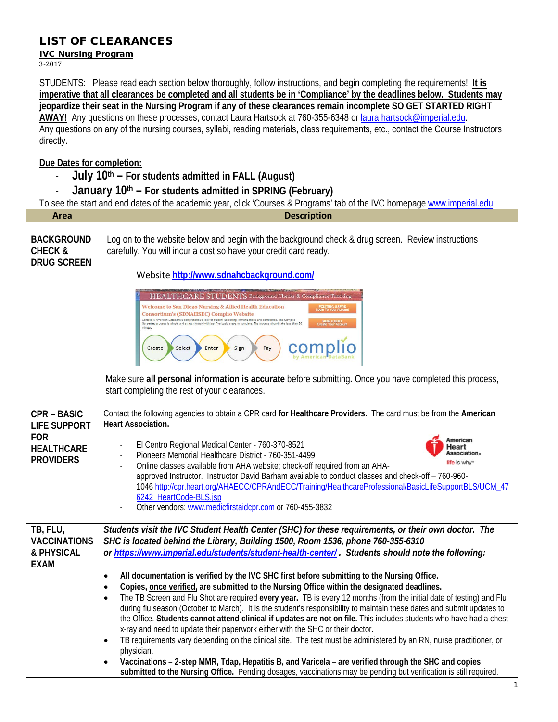## LIST OF CLEARANCES

## IVC Nursing Program

3-2017

STUDENTS: Please read each section below thoroughly, follow instructions, and begin completing the requirements!**It is imperative that all clearances be completed and all students be in 'Compliance' by the deadlines below. Students may jeopardize their seat in the Nursing Program if any of these clearances remain incomplete SO GET STARTED RIGHT AWAY!** Any questions on these processes, contact Laura Hartsock at 760-355-6348 o[r laura.hartsock@imperial.edu.](mailto:laura.hartsock@imperial.edu) Any questions on any of the nursing courses, syllabi, reading materials, class requirements, etc., contact the Course Instructors directly.

## **Due Dates for completion:**

- **July 10th – For students admitted in FALL (August)**
- **January 10th – For students admitted in SPRING (February)**

To see the start and end dates of the academic year, click 'Courses & Programs' tab of the IVC homepage [www.imperial.edu](http://www.imperial.edu/)

| Area                                                                       | <b>Description</b>                                                                                                                                                                                                                                                                                                                                                                                                                                                                                                                                                                                                                                                                                                                                                                                                                                              |
|----------------------------------------------------------------------------|-----------------------------------------------------------------------------------------------------------------------------------------------------------------------------------------------------------------------------------------------------------------------------------------------------------------------------------------------------------------------------------------------------------------------------------------------------------------------------------------------------------------------------------------------------------------------------------------------------------------------------------------------------------------------------------------------------------------------------------------------------------------------------------------------------------------------------------------------------------------|
| <b>BACKGROUND</b><br><b>CHECK &amp;</b><br><b>DRUG SCREEN</b>              | Log on to the website below and begin with the background check & drug screen. Review instructions<br>carefully. You will incur a cost so have your credit card ready.                                                                                                                                                                                                                                                                                                                                                                                                                                                                                                                                                                                                                                                                                          |
|                                                                            | Website http://www.sdnahcbackground.com/                                                                                                                                                                                                                                                                                                                                                                                                                                                                                                                                                                                                                                                                                                                                                                                                                        |
|                                                                            | HEALTHCARE STUDENTS Background Checks & Compliance Tracking<br>Welcome to San Diego Nursing & Allied Health Education<br>Consortium's (SDNAHSEC) Complio Website<br>Complio is American DataBank's comprehensive tool for student screening, immunizations and compliance. The Complio<br>Screening process is simple and straightforward with just five basic steps to complete. The process should<br>Select<br>Enter<br>Create<br>Sign<br>Pay                                                                                                                                                                                                                                                                                                                                                                                                                |
|                                                                            | Make sure all personal information is accurate before submitting. Once you have completed this process,<br>start completing the rest of your clearances.                                                                                                                                                                                                                                                                                                                                                                                                                                                                                                                                                                                                                                                                                                        |
| <b>CPR - BASIC</b>                                                         | Contact the following agencies to obtain a CPR card for Healthcare Providers. The card must be from the American<br><b>Heart Association.</b>                                                                                                                                                                                                                                                                                                                                                                                                                                                                                                                                                                                                                                                                                                                   |
| <b>LIFE SUPPORT</b><br><b>FOR</b><br><b>HEALTHCARE</b><br><b>PROVIDERS</b> | American<br>El Centro Regional Medical Center - 760-370-8521<br>Heart<br>Association.<br>Pioneers Memorial Healthcare District - 760-351-4499<br>life is why-<br>Online classes available from AHA website; check-off required from an AHA-<br>approved Instructor. Instructor David Barham available to conduct classes and check-off - 760-960-<br>1046 http://cpr.heart.org/AHAECC/CPRAndECC/Training/HealthcareProfessional/BasicLifeSupportBLS/UCM_47<br>6242 HeartCode-BLS.jsp<br>Other vendors: www.medicfirstaidcpr.com or 760-455-3832                                                                                                                                                                                                                                                                                                                 |
| TB, FLU,<br><b>VACCINATIONS</b>                                            | Students visit the IVC Student Health Center (SHC) for these requirements, or their own doctor. The<br>SHC is located behind the Library, Building 1500, Room 1536, phone 760-355-6310                                                                                                                                                                                                                                                                                                                                                                                                                                                                                                                                                                                                                                                                          |
| & PHYSICAL<br><b>EXAM</b>                                                  | or https://www.imperial.edu/students/student-health-center/. Students should note the following:                                                                                                                                                                                                                                                                                                                                                                                                                                                                                                                                                                                                                                                                                                                                                                |
|                                                                            | All documentation is verified by the IVC SHC first before submitting to the Nursing Office.<br>$\bullet$<br>Copies, once verified, are submitted to the Nursing Office within the designated deadlines.<br>$\bullet$                                                                                                                                                                                                                                                                                                                                                                                                                                                                                                                                                                                                                                            |
|                                                                            | The TB Screen and Flu Shot are required every year. TB is every 12 months (from the initial date of testing) and Flu<br>$\bullet$<br>during flu season (October to March). It is the student's responsibility to maintain these dates and submit updates to<br>the Office. Students cannot attend clinical if updates are not on file. This includes students who have had a chest<br>x-ray and need to update their paperwork either with the SHC or their doctor.<br>TB requirements vary depending on the clinical site. The test must be administered by an RN, nurse practitioner, or<br>$\bullet$<br>physician.<br>Vaccinations - 2-step MMR, Tdap, Hepatitis B, and Varicela - are verified through the SHC and copies<br>$\bullet$<br>submitted to the Nursing Office. Pending dosages, vaccinations may be pending but verification is still required. |